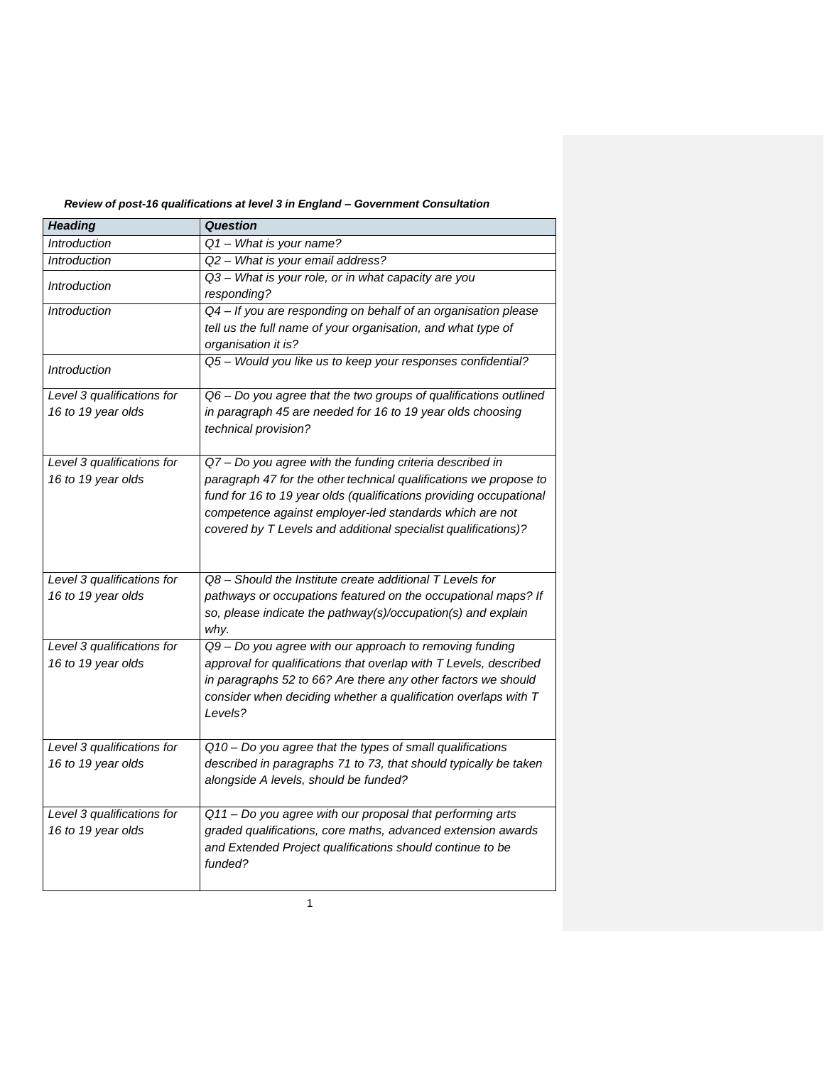| <b>Heading</b>                                   | <b>Question</b>                                                                                                                                                                                                                                                                                                                  |
|--------------------------------------------------|----------------------------------------------------------------------------------------------------------------------------------------------------------------------------------------------------------------------------------------------------------------------------------------------------------------------------------|
| <b>Introduction</b>                              | Q1 - What is your name?                                                                                                                                                                                                                                                                                                          |
| <b>Introduction</b>                              | Q2 - What is your email address?                                                                                                                                                                                                                                                                                                 |
| <b>Introduction</b>                              | Q3 - What is your role, or in what capacity are you<br>responding?                                                                                                                                                                                                                                                               |
| <b>Introduction</b>                              | Q4 - If you are responding on behalf of an organisation please<br>tell us the full name of your organisation, and what type of<br>organisation it is?                                                                                                                                                                            |
| <i><u><b>Introduction</b></u></i>                | Q5 - Would you like us to keep your responses confidential?                                                                                                                                                                                                                                                                      |
| Level 3 qualifications for<br>16 to 19 year olds | Q6 - Do you agree that the two groups of qualifications outlined<br>in paragraph 45 are needed for 16 to 19 year olds choosing<br>technical provision?                                                                                                                                                                           |
| Level 3 qualifications for<br>16 to 19 year olds | Q7 - Do you agree with the funding criteria described in<br>paragraph 47 for the other technical qualifications we propose to<br>fund for 16 to 19 year olds (qualifications providing occupational<br>competence against employer-led standards which are not<br>covered by T Levels and additional specialist qualifications)? |
| Level 3 qualifications for<br>16 to 19 year olds | Q8 – Should the Institute create additional T Levels for<br>pathways or occupations featured on the occupational maps? If<br>so, please indicate the pathway(s)/occupation(s) and explain<br>why.                                                                                                                                |
| Level 3 qualifications for<br>16 to 19 year olds | Q9 - Do you agree with our approach to removing funding<br>approval for qualifications that overlap with T Levels, described<br>in paragraphs 52 to 66? Are there any other factors we should<br>consider when deciding whether a qualification overlaps with T<br>Levels?                                                       |
| Level 3 qualifications for<br>16 to 19 year olds | Q10 - Do you agree that the types of small qualifications<br>described in paragraphs 71 to 73, that should typically be taken<br>alongside A levels, should be funded?                                                                                                                                                           |
| Level 3 qualifications for<br>16 to 19 year olds | Q11 - Do you agree with our proposal that performing arts<br>graded qualifications, core maths, advanced extension awards<br>and Extended Project qualifications should continue to be<br>funded?                                                                                                                                |

## *Review of post-16 qualifications at level 3 in England – Government Consultation*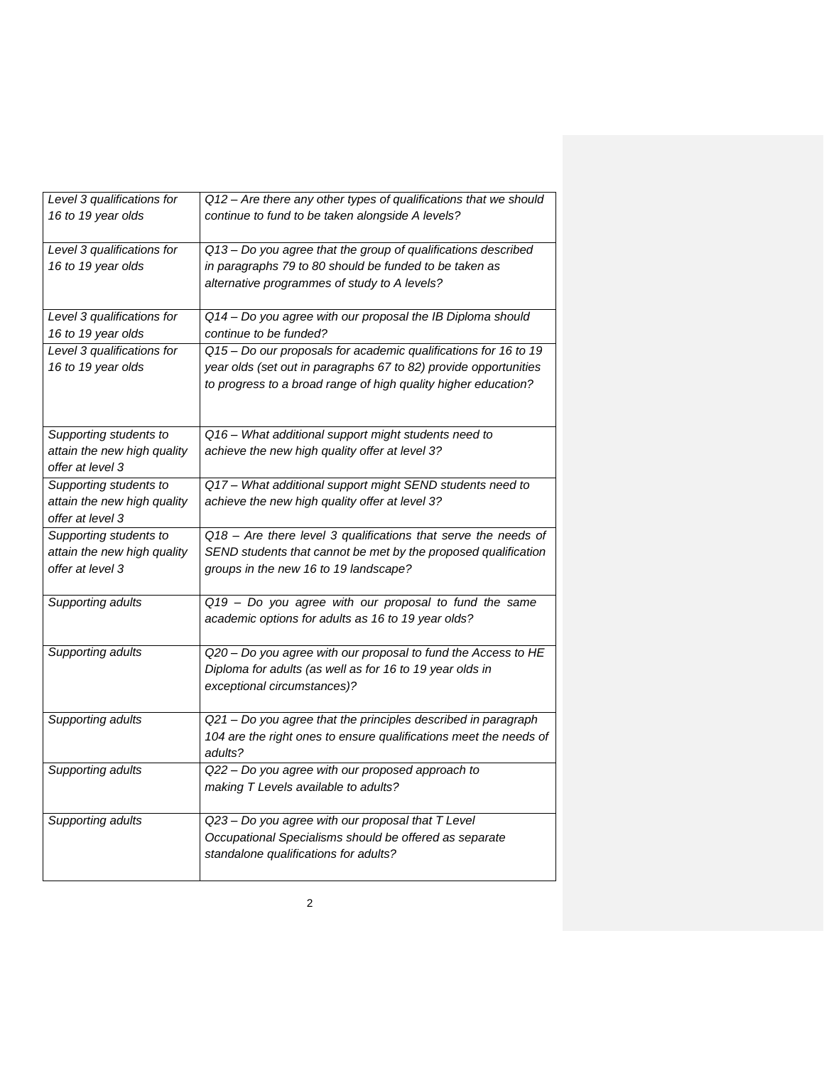| Level 3 qualifications for                      | Q12 - Are there any other types of qualifications that we should  |
|-------------------------------------------------|-------------------------------------------------------------------|
| 16 to 19 year olds                              | continue to fund to be taken alongside A levels?                  |
| Level 3 qualifications for                      | Q13 - Do you agree that the group of qualifications described     |
| 16 to 19 year olds                              | in paragraphs 79 to 80 should be funded to be taken as            |
|                                                 | alternative programmes of study to A levels?                      |
|                                                 |                                                                   |
| Level 3 qualifications for                      | Q14 - Do you agree with our proposal the IB Diploma should        |
| 16 to 19 year olds                              | continue to be funded?                                            |
| Level 3 qualifications for                      | Q15 - Do our proposals for academic qualifications for 16 to 19   |
| 16 to 19 year olds                              | year olds (set out in paragraphs 67 to 82) provide opportunities  |
|                                                 | to progress to a broad range of high quality higher education?    |
|                                                 |                                                                   |
|                                                 |                                                                   |
| Supporting students to                          | Q16 - What additional support might students need to              |
| attain the new high quality                     | achieve the new high quality offer at level 3?                    |
| offer at level 3                                |                                                                   |
| Supporting students to                          | Q17 - What additional support might SEND students need to         |
| attain the new high quality                     | achieve the new high quality offer at level 3?                    |
| offer at level 3                                |                                                                   |
| Supporting students to                          | Q18 - Are there level 3 qualifications that serve the needs of    |
| attain the new high quality<br>offer at level 3 | SEND students that cannot be met by the proposed qualification    |
|                                                 | groups in the new 16 to 19 landscape?                             |
| Supporting adults                               | Q19 - Do you agree with our proposal to fund the same             |
|                                                 | academic options for adults as 16 to 19 year olds?                |
|                                                 |                                                                   |
| Supporting adults                               | Q20 - Do you agree with our proposal to fund the Access to HE     |
|                                                 | Diploma for adults (as well as for 16 to 19 year olds in          |
|                                                 | exceptional circumstances)?                                       |
|                                                 |                                                                   |
| Supporting adults                               | Q21 - Do you agree that the principles described in paragraph     |
|                                                 | 104 are the right ones to ensure qualifications meet the needs of |
|                                                 | adults?                                                           |
| Supporting adults                               | Q22 - Do you agree with our proposed approach to                  |
|                                                 | making T Levels available to adults?                              |
|                                                 |                                                                   |
| Supporting adults                               | Q23 - Do you agree with our proposal that T Level                 |
|                                                 | Occupational Specialisms should be offered as separate            |
|                                                 | standalone qualifications for adults?                             |
|                                                 |                                                                   |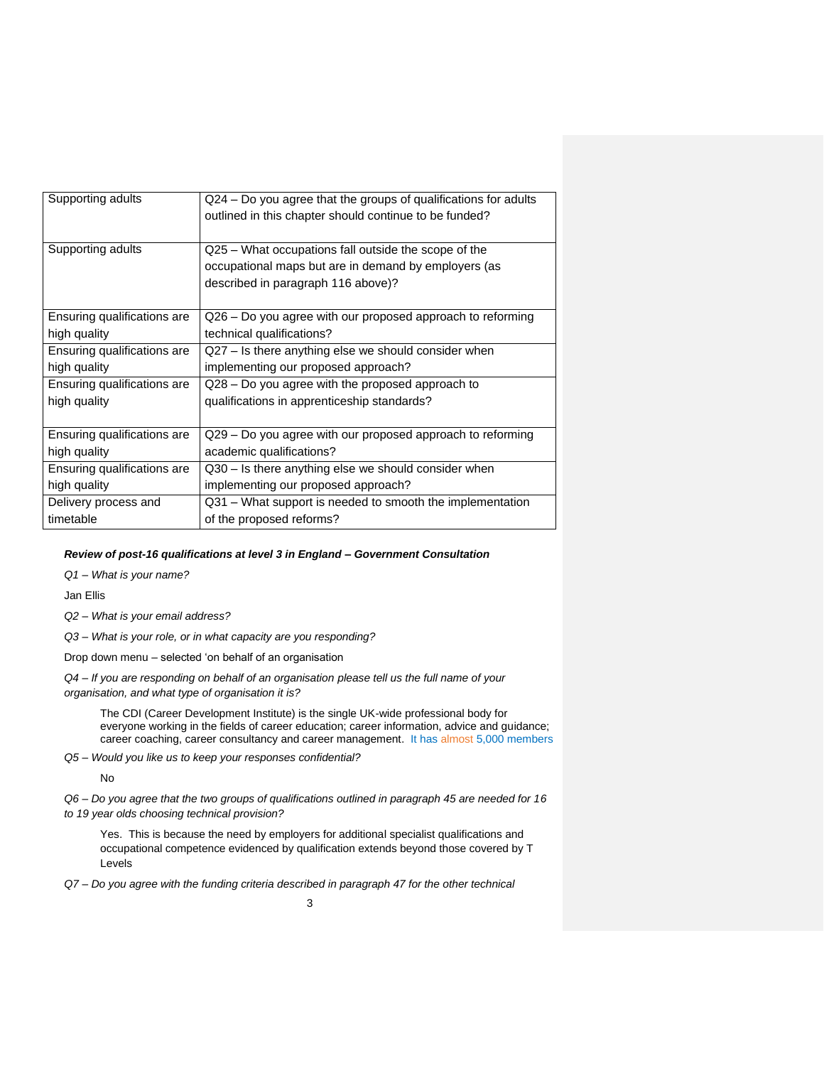| Supporting adults           | Q24 – Do you agree that the groups of qualifications for adults<br>outlined in this chapter should continue to be funded? |
|-----------------------------|---------------------------------------------------------------------------------------------------------------------------|
| Supporting adults           | Q25 – What occupations fall outside the scope of the                                                                      |
|                             | occupational maps but are in demand by employers (as                                                                      |
|                             | described in paragraph 116 above)?                                                                                        |
|                             |                                                                                                                           |
| Ensuring qualifications are | Q26 – Do you agree with our proposed approach to reforming                                                                |
| high quality                | technical qualifications?                                                                                                 |
| Ensuring qualifications are | Q27 - Is there anything else we should consider when                                                                      |
| high quality                | implementing our proposed approach?                                                                                       |
| Ensuring qualifications are | Q28 – Do you agree with the proposed approach to                                                                          |
| high quality                | qualifications in apprenticeship standards?                                                                               |
|                             |                                                                                                                           |
| Ensuring qualifications are | Q29 – Do you agree with our proposed approach to reforming                                                                |
| high quality                | academic qualifications?                                                                                                  |
| Ensuring qualifications are | Q30 – Is there anything else we should consider when                                                                      |
| high quality                | implementing our proposed approach?                                                                                       |
| Delivery process and        | Q31 – What support is needed to smooth the implementation                                                                 |
| timetable                   | of the proposed reforms?                                                                                                  |

## *Review of post-16 qualifications at level 3 in England – Government Consultation*

*Q1 – What is your name?*

Jan Ellis

*Q2 – What is your email address?*

*Q3 – What is your role, or in what capacity are you responding?*

Drop down menu – selected 'on behalf of an organisation

*Q4 – If you are responding on behalf of an organisation please tell us the full name of your organisation, and what type of organisation it is?*

The CDI (Career Development Institute) is the single UK-wide professional body for everyone working in the fields of career education; career information, advice and guidance; career coaching, career consultancy and career management. It has almost 5,000 members

*Q5 – Would you like us to keep your responses confidential?*

No

*Q6 – Do you agree that the two groups of qualifications outlined in paragraph 45 are needed for 16 to 19 year olds choosing technical provision?*

Yes. This is because the need by employers for additional specialist qualifications and occupational competence evidenced by qualification extends beyond those covered by T Levels

*Q7 – Do you agree with the funding criteria described in paragraph 47 for the other technical*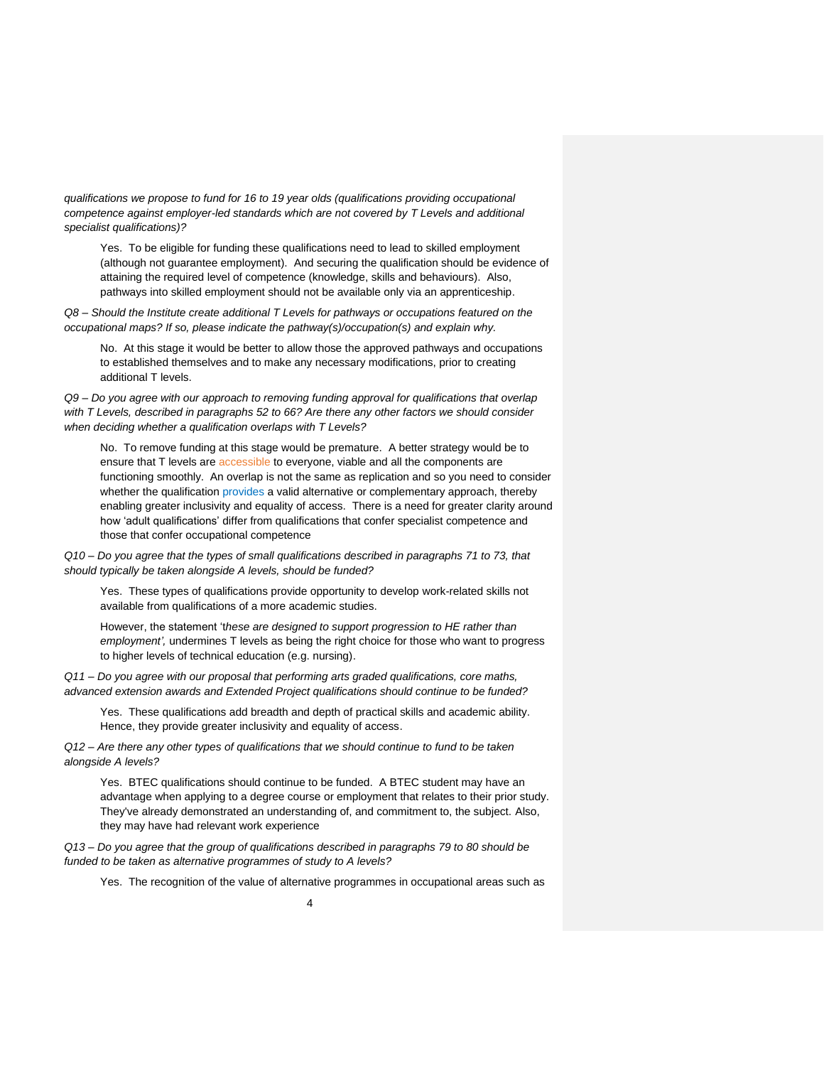*qualifications we propose to fund for 16 to 19 year olds (qualifications providing occupational competence against employer-led standards which are not covered by T Levels and additional specialist qualifications)?*

Yes. To be eligible for funding these qualifications need to lead to skilled employment (although not guarantee employment). And securing the qualification should be evidence of attaining the required level of competence (knowledge, skills and behaviours). Also, pathways into skilled employment should not be available only via an apprenticeship.

*Q8 – Should the Institute create additional T Levels for pathways or occupations featured on the occupational maps? If so, please indicate the pathway(s)/occupation(s) and explain why.*

No. At this stage it would be better to allow those the approved pathways and occupations to established themselves and to make any necessary modifications, prior to creating additional T levels.

*Q9 – Do you agree with our approach to removing funding approval for qualifications that overlap with T Levels, described in paragraphs 52 to 66? Are there any other factors we should consider when deciding whether a qualification overlaps with T Levels?*

No. To remove funding at this stage would be premature. A better strategy would be to ensure that T levels are accessible to everyone, viable and all the components are functioning smoothly. An overlap is not the same as replication and so you need to consider whether the qualification provides a valid alternative or complementary approach, thereby enabling greater inclusivity and equality of access. There is a need for greater clarity around how 'adult qualifications' differ from qualifications that confer specialist competence and those that confer occupational competence

*Q10 – Do you agree that the types of small qualifications described in paragraphs 71 to 73, that should typically be taken alongside A levels, should be funded?*

Yes. These types of qualifications provide opportunity to develop work-related skills not available from qualifications of a more academic studies.

However, the statement 't*hese are designed to support progression to HE rather than employment',* undermines T levels as being the right choice for those who want to progress to higher levels of technical education (e.g. nursing).

*Q11 – Do you agree with our proposal that performing arts graded qualifications, core maths, advanced extension awards and Extended Project qualifications should continue to be funded?*

Yes. These qualifications add breadth and depth of practical skills and academic ability. Hence, they provide greater inclusivity and equality of access.

*Q12 – Are there any other types of qualifications that we should continue to fund to be taken alongside A levels?*

Yes. BTEC qualifications should continue to be funded. A BTEC student may have an advantage when applying to a degree course or employment that relates to their prior study. They've already demonstrated an understanding of, and commitment to, the subject. Also, they may have had relevant work experience

*Q13 – Do you agree that the group of qualifications described in paragraphs 79 to 80 should be funded to be taken as alternative programmes of study to A levels?*

Yes. The recognition of the value of alternative programmes in occupational areas such as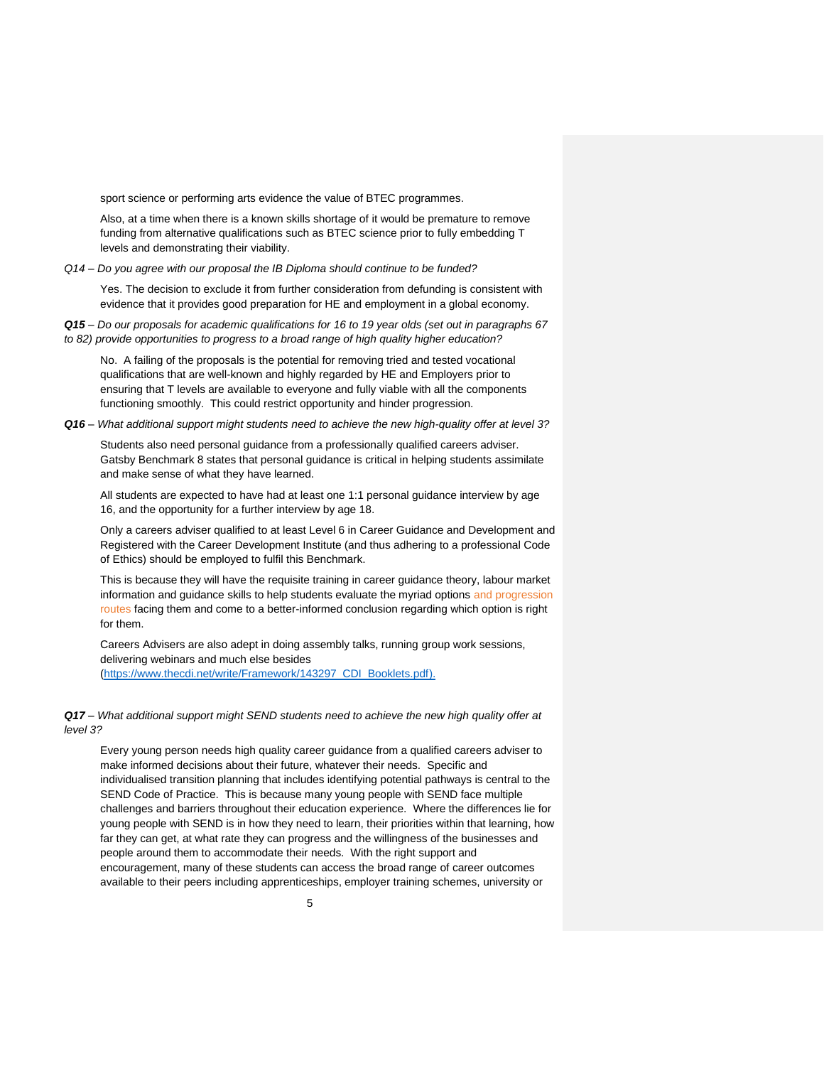sport science or performing arts evidence the value of BTEC programmes.

Also, at a time when there is a known skills shortage of it would be premature to remove funding from alternative qualifications such as BTEC science prior to fully embedding T levels and demonstrating their viability.

*Q14 – Do you agree with our proposal the IB Diploma should continue to be funded?*

Yes. The decision to exclude it from further consideration from defunding is consistent with evidence that it provides good preparation for HE and employment in a global economy.

*Q15 – Do our proposals for academic qualifications for 16 to 19 year olds (set out in paragraphs 67 to 82) provide opportunities to progress to a broad range of high quality higher education?*

No. A failing of the proposals is the potential for removing tried and tested vocational qualifications that are well-known and highly regarded by HE and Employers prior to ensuring that T levels are available to everyone and fully viable with all the components functioning smoothly. This could restrict opportunity and hinder progression.

*Q16 – What additional support might students need to achieve the new high-quality offer at level 3?*

Students also need personal guidance from a professionally qualified careers adviser. Gatsby Benchmark 8 states that personal guidance is critical in helping students assimilate and make sense of what they have learned.

All students are expected to have had at least one 1:1 personal guidance interview by age 16, and the opportunity for a further interview by age 18.

Only a careers adviser qualified to at least Level 6 in Career Guidance and Development and Registered with the Career Development Institute (and thus adhering to a professional Code of Ethics) should be employed to fulfil this Benchmark.

This is because they will have the requisite training in career guidance theory, labour market information and guidance skills to help students evaluate the myriad options and progression routes facing them and come to a better-informed conclusion regarding which option is right for them.

Careers Advisers are also adept in doing assembly talks, running group work sessions, delivering webinars and much else besides [\(https://www.thecdi.net/write/Framework/143297\\_CDI\\_Booklets.pdf\)](https://www.thecdi.net/write/Framework/143297_CDI_Booklets.pdf).

*Q17 – What additional support might SEND students need to achieve the new high quality offer at level 3?*

Every young person needs high quality career guidance from a qualified careers adviser to make informed decisions about their future, whatever their needs. Specific and individualised transition planning that includes identifying potential pathways is central to the SEND Code of Practice. This is because many young people with SEND face multiple challenges and barriers throughout their education experience. Where the differences lie for young people with SEND is in how they need to learn, their priorities within that learning, how far they can get, at what rate they can progress and the willingness of the businesses and people around them to accommodate their needs. With the right support and encouragement, many of these students can access the broad range of career outcomes available to their peers including apprenticeships, employer training schemes, university or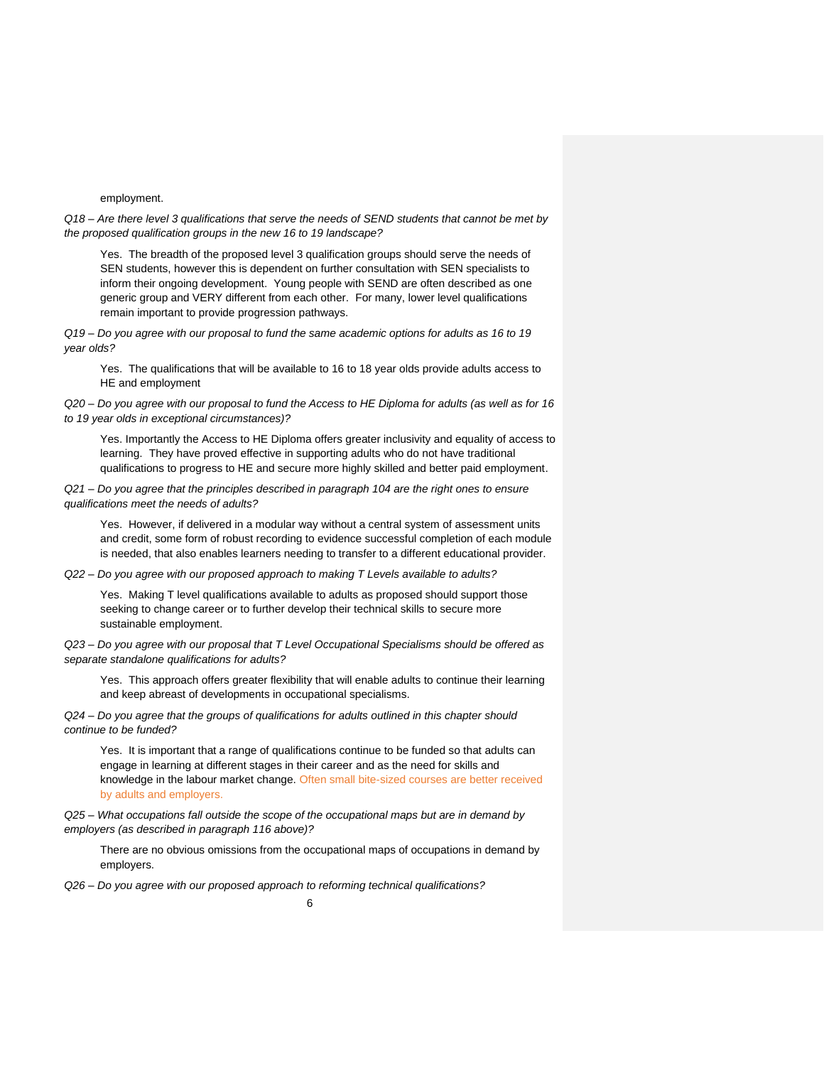## employment.

*Q18 – Are there level 3 qualifications that serve the needs of SEND students that cannot be met by the proposed qualification groups in the new 16 to 19 landscape?*

Yes. The breadth of the proposed level 3 qualification groups should serve the needs of SEN students, however this is dependent on further consultation with SEN specialists to inform their ongoing development. Young people with SEND are often described as one generic group and VERY different from each other. For many, lower level qualifications remain important to provide progression pathways.

*Q19 – Do you agree with our proposal to fund the same academic options for adults as 16 to 19 year olds?*

Yes. The qualifications that will be available to 16 to 18 year olds provide adults access to HE and employment

*Q20 – Do you agree with our proposal to fund the Access to HE Diploma for adults (as well as for 16 to 19 year olds in exceptional circumstances)?*

Yes. Importantly the Access to HE Diploma offers greater inclusivity and equality of access to learning. They have proved effective in supporting adults who do not have traditional qualifications to progress to HE and secure more highly skilled and better paid employment.

*Q21 – Do you agree that the principles described in paragraph 104 are the right ones to ensure qualifications meet the needs of adults?*

Yes. However, if delivered in a modular way without a central system of assessment units and credit, some form of robust recording to evidence successful completion of each module is needed, that also enables learners needing to transfer to a different educational provider.

*Q22 – Do you agree with our proposed approach to making T Levels available to adults?*

Yes. Making T level qualifications available to adults as proposed should support those seeking to change career or to further develop their technical skills to secure more sustainable employment.

*Q23 – Do you agree with our proposal that T Level Occupational Specialisms should be offered as separate standalone qualifications for adults?*

Yes. This approach offers greater flexibility that will enable adults to continue their learning and keep abreast of developments in occupational specialisms.

*Q24 – Do you agree that the groups of qualifications for adults outlined in this chapter should continue to be funded?*

Yes. It is important that a range of qualifications continue to be funded so that adults can engage in learning at different stages in their career and as the need for skills and knowledge in the labour market change. Often small bite-sized courses are better received by adults and employers.

*Q25 – What occupations fall outside the scope of the occupational maps but are in demand by employers (as described in paragraph 116 above)?*

There are no obvious omissions from the occupational maps of occupations in demand by employers.

*Q26 – Do you agree with our proposed approach to reforming technical qualifications?*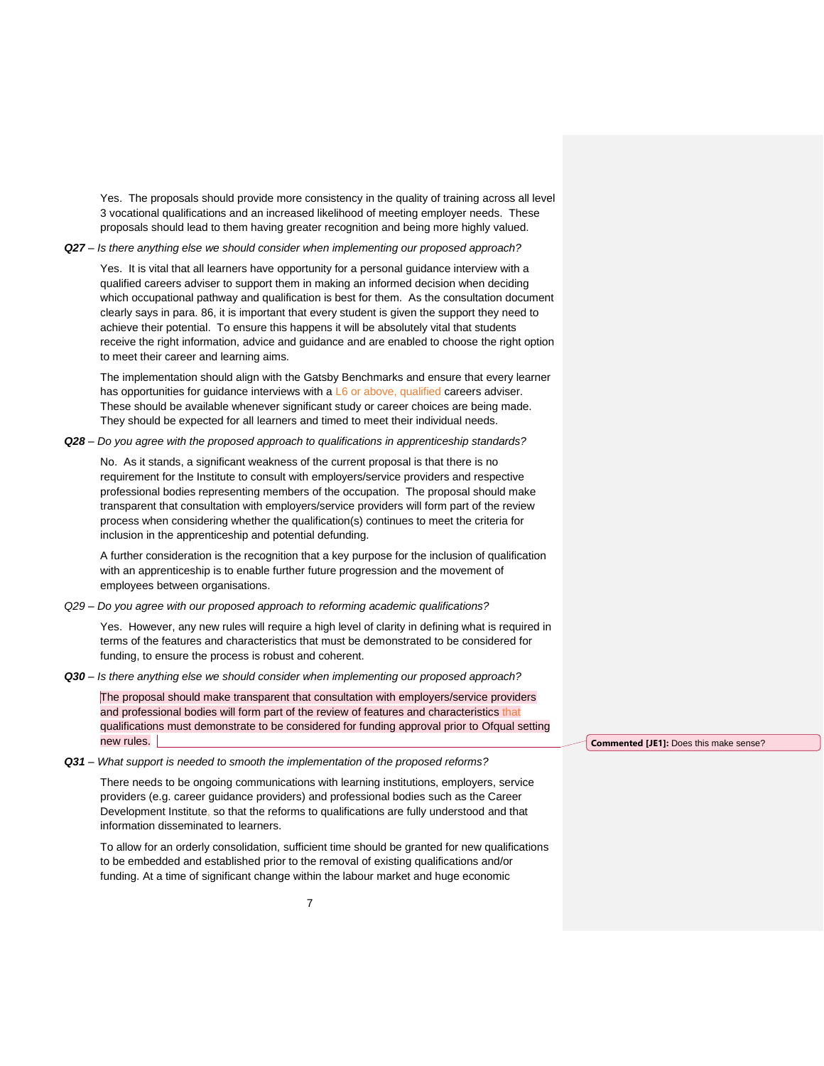Yes. The proposals should provide more consistency in the quality of training across all level 3 vocational qualifications and an increased likelihood of meeting employer needs. These proposals should lead to them having greater recognition and being more highly valued.

## *Q27 – Is there anything else we should consider when implementing our proposed approach?*

Yes. It is vital that all learners have opportunity for a personal guidance interview with a qualified careers adviser to support them in making an informed decision when deciding which occupational pathway and qualification is best for them. As the consultation document clearly says in para. 86, it is important that every student is given the support they need to achieve their potential. To ensure this happens it will be absolutely vital that students receive the right information, advice and guidance and are enabled to choose the right option to meet their career and learning aims.

The implementation should align with the Gatsby Benchmarks and ensure that every learner has opportunities for guidance interviews with a L6 or above, qualified careers adviser. These should be available whenever significant study or career choices are being made. They should be expected for all learners and timed to meet their individual needs.

*Q28 – Do you agree with the proposed approach to qualifications in apprenticeship standards?*

No. As it stands, a significant weakness of the current proposal is that there is no requirement for the Institute to consult with employers/service providers and respective professional bodies representing members of the occupation. The proposal should make transparent that consultation with employers/service providers will form part of the review process when considering whether the qualification(s) continues to meet the criteria for inclusion in the apprenticeship and potential defunding.

A further consideration is the recognition that a key purpose for the inclusion of qualification with an apprenticeship is to enable further future progression and the movement of employees between organisations.

*Q29 – Do you agree with our proposed approach to reforming academic qualifications?*

Yes. However, any new rules will require a high level of clarity in defining what is required in terms of the features and characteristics that must be demonstrated to be considered for funding, to ensure the process is robust and coherent.

*Q30 – Is there anything else we should consider when implementing our proposed approach?*

The proposal should make transparent that consultation with employers/service providers and professional bodies will form part of the review of features and characteristics that qualifications must demonstrate to be considered for funding approval prior to Ofqual setting new rules.

*Q31 – What support is needed to smooth the implementation of the proposed reforms?*

There needs to be ongoing communications with learning institutions, employers, service providers (e.g. career guidance providers) and professional bodies such as the Career Development Institute, so that the reforms to qualifications are fully understood and that information disseminated to learners.

To allow for an orderly consolidation, sufficient time should be granted for new qualifications to be embedded and established prior to the removal of existing qualifications and/or funding. At a time of significant change within the labour market and huge economic

**Commented [JE1]:** Does this make sense?